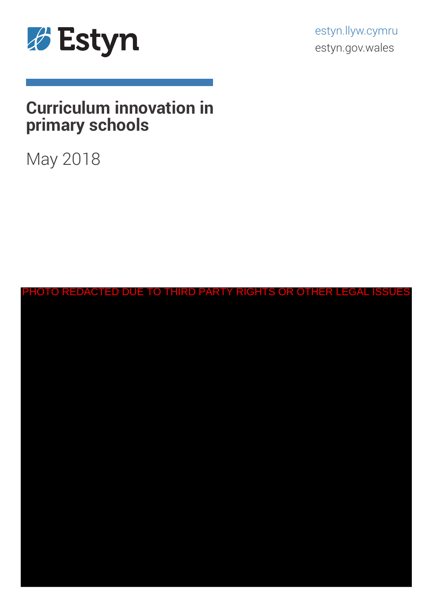

estyn.llyw.cymru estyn.gov.wales

# **Curriculum innovation in primary schools**

# May 2018

| PHOTO REDACTED DUE TO THIRD PARTY RIGHTS OR OTHER LEGAL ISSUES |  |  |  |  |  |  |  |  |  |  |  |  |
|----------------------------------------------------------------|--|--|--|--|--|--|--|--|--|--|--|--|
|                                                                |  |  |  |  |  |  |  |  |  |  |  |  |
|                                                                |  |  |  |  |  |  |  |  |  |  |  |  |
|                                                                |  |  |  |  |  |  |  |  |  |  |  |  |
|                                                                |  |  |  |  |  |  |  |  |  |  |  |  |
|                                                                |  |  |  |  |  |  |  |  |  |  |  |  |
|                                                                |  |  |  |  |  |  |  |  |  |  |  |  |
|                                                                |  |  |  |  |  |  |  |  |  |  |  |  |
|                                                                |  |  |  |  |  |  |  |  |  |  |  |  |
|                                                                |  |  |  |  |  |  |  |  |  |  |  |  |
|                                                                |  |  |  |  |  |  |  |  |  |  |  |  |
|                                                                |  |  |  |  |  |  |  |  |  |  |  |  |
|                                                                |  |  |  |  |  |  |  |  |  |  |  |  |
|                                                                |  |  |  |  |  |  |  |  |  |  |  |  |
|                                                                |  |  |  |  |  |  |  |  |  |  |  |  |
|                                                                |  |  |  |  |  |  |  |  |  |  |  |  |
|                                                                |  |  |  |  |  |  |  |  |  |  |  |  |
|                                                                |  |  |  |  |  |  |  |  |  |  |  |  |
|                                                                |  |  |  |  |  |  |  |  |  |  |  |  |
|                                                                |  |  |  |  |  |  |  |  |  |  |  |  |
|                                                                |  |  |  |  |  |  |  |  |  |  |  |  |
|                                                                |  |  |  |  |  |  |  |  |  |  |  |  |
|                                                                |  |  |  |  |  |  |  |  |  |  |  |  |
|                                                                |  |  |  |  |  |  |  |  |  |  |  |  |
|                                                                |  |  |  |  |  |  |  |  |  |  |  |  |
|                                                                |  |  |  |  |  |  |  |  |  |  |  |  |
|                                                                |  |  |  |  |  |  |  |  |  |  |  |  |
|                                                                |  |  |  |  |  |  |  |  |  |  |  |  |
|                                                                |  |  |  |  |  |  |  |  |  |  |  |  |
|                                                                |  |  |  |  |  |  |  |  |  |  |  |  |
|                                                                |  |  |  |  |  |  |  |  |  |  |  |  |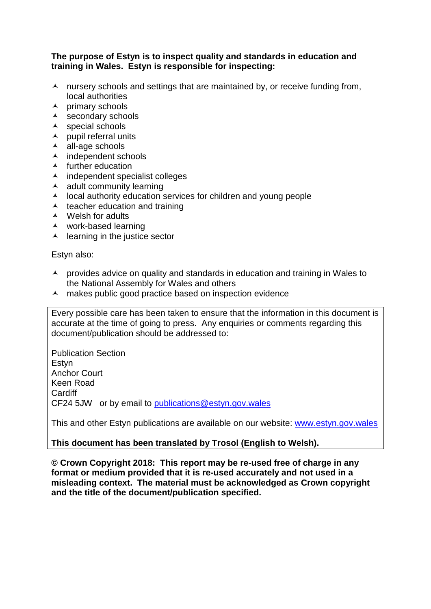### **The purpose of Estyn is to inspect quality and standards in education and training in Wales. Estyn is responsible for inspecting:**

- $\lambda$  nursery schools and settings that are maintained by, or receive funding from, local authorities
- $\lambda$  primary schools
- $\lambda$  secondary schools
- $\lambda$  special schools
- $\lambda$  pupil referral units
- all-age schools
- $\lambda$  independent schools
- $\blacktriangle$  further education
- $\lambda$  independent specialist colleges
- $\lambda$  adult community learning
- $\lambda$  local authority education services for children and young people
- $\lambda$  teacher education and training
- $\triangle$  Welsh for adults
- work-based learning
- $\lambda$  learning in the justice sector

Estyn also:

- **A** provides advice on quality and standards in education and training in Wales to the National Assembly for Wales and others
- $\lambda$  makes public good practice based on inspection evidence

Every possible care has been taken to ensure that the information in this document is accurate at the time of going to press. Any enquiries or comments regarding this document/publication should be addressed to:

Publication Section **Estvn** Anchor Court Keen Road **Cardiff** CF24 5JW or by email to [publications@estyn.gov.wales](mailto:publications@estyn.gov.wales)

This and other Estyn publications are available on our website: [www.estyn.gov.wales](http://www.estyn.gov.wales/)

**This document has been translated by Trosol (English to Welsh).**

**© Crown Copyright 2018: This report may be re-used free of charge in any format or medium provided that it is re-used accurately and not used in a misleading context. The material must be acknowledged as Crown copyright and the title of the document/publication specified.**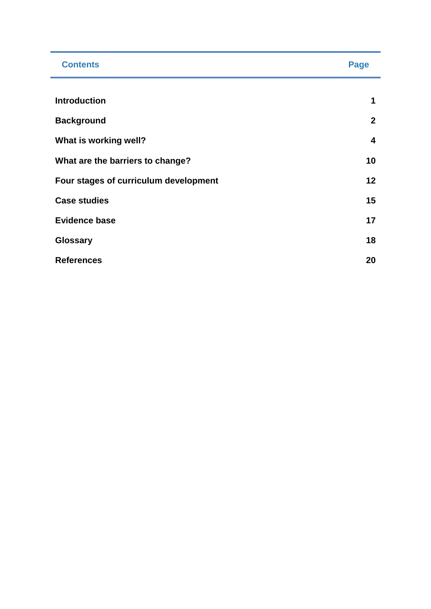| <b>Contents</b>                       | Page                    |
|---------------------------------------|-------------------------|
|                                       |                         |
| <b>Introduction</b>                   | 1                       |
| <b>Background</b>                     | $\mathbf{2}$            |
| What is working well?                 | $\overline{\mathbf{4}}$ |
| What are the barriers to change?      | 10                      |
| Four stages of curriculum development | 12                      |
| <b>Case studies</b>                   | 15                      |
| <b>Evidence base</b>                  | 17                      |
| Glossary                              | 18                      |
| <b>References</b>                     | 20                      |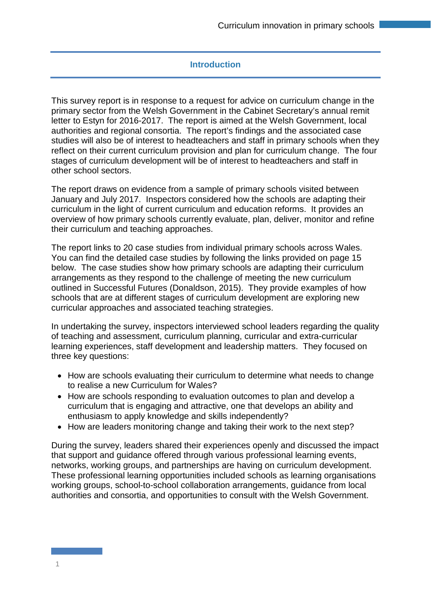# **Introduction**

This survey report is in response to a request for advice on curriculum change in the primary sector from the Welsh Government in the Cabinet Secretary's annual remit letter to Estyn for 2016-2017. The report is aimed at the Welsh Government, local authorities and regional consortia. The report's findings and the associated case studies will also be of interest to headteachers and staff in primary schools when they reflect on their current curriculum provision and plan for curriculum change. The four stages of curriculum development will be of interest to headteachers and staff in other school sectors.

The report draws on evidence from a sample of primary schools visited between January and July 2017. Inspectors considered how the schools are adapting their curriculum in the light of current curriculum and education reforms. It provides an overview of how primary schools currently evaluate, plan, deliver, monitor and refine their curriculum and teaching approaches.

The report links to 20 case studies from individual primary schools across Wales. You can find the detailed case studies by following the links provided on page 15 below. The case studies show how primary schools are adapting their curriculum arrangements as they respond to the challenge of meeting the new curriculum outlined in Successful Futures (Donaldson, 2015). They provide examples of how schools that are at different stages of curriculum development are exploring new curricular approaches and associated teaching strategies.

In undertaking the survey, inspectors interviewed school leaders regarding the quality of teaching and assessment, curriculum planning, curricular and extra-curricular learning experiences, staff development and leadership matters. They focused on three key questions:

- How are schools evaluating their curriculum to determine what needs to change to realise a new Curriculum for Wales?
- How are schools responding to evaluation outcomes to plan and develop a curriculum that is engaging and attractive, one that develops an ability and enthusiasm to apply knowledge and skills independently?
- How are leaders monitoring change and taking their work to the next step?

During the survey, leaders shared their experiences openly and discussed the impact that support and guidance offered through various professional learning events, networks, working groups, and partnerships are having on curriculum development. These professional learning opportunities included schools as learning organisations working groups, school-to-school collaboration arrangements, guidance from local authorities and consortia, and opportunities to consult with the Welsh Government.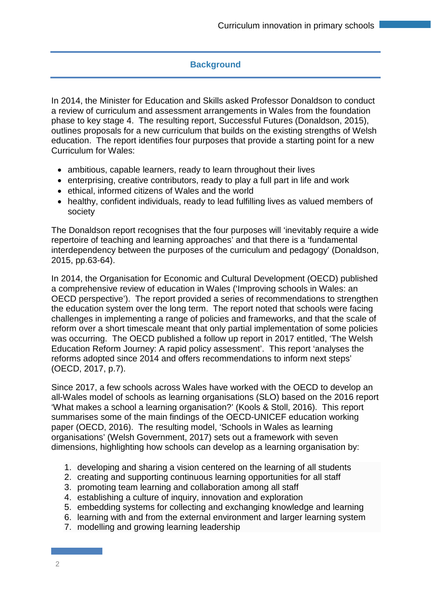# **Background**

In 2014, the Minister for Education and Skills asked Professor Donaldson to conduct a review of curriculum and assessment arrangements in Wales from the foundation phase to key stage 4. The resulting report, Successful Futures (Donaldson, 2015), outlines proposals for a new curriculum that builds on the existing strengths of Welsh education. The report identifies four purposes that provide a starting point for a new Curriculum for Wales:

- ambitious, capable learners, ready to learn throughout their lives
- enterprising, creative contributors, ready to play a full part in life and work
- ethical, informed citizens of Wales and the world
- healthy, confident individuals, ready to lead fulfilling lives as valued members of society

The Donaldson report recognises that the four purposes will 'inevitably require a wide repertoire of teaching and learning approaches' and that there is a 'fundamental interdependency between the purposes of the curriculum and pedagogy' (Donaldson, 2015, pp.63-64).

In 2014, the Organisation for Economic and Cultural Development (OECD) published a comprehensive review of education in Wales ('Improving schools in Wales: an OECD perspective'). The report provided a series of recommendations to strengthen the education system over the long term. The report noted that schools were facing challenges in implementing a range of policies and frameworks, and that the scale of reform over a short timescale meant that only partial implementation of some policies was occurring. The OECD published a follow up report in 2017 entitled, 'The Welsh Education Reform Journey: A rapid policy assessment'. This report 'analyses the reforms adopted since 2014 and offers recommendations to inform next steps' (OECD, 2017, p.7).

Since 2017, a few schools across Wales have worked with the OECD to develop an all-Wales model of schools as learning organisations (SLO) based on the 2016 report 'What makes a school a learning organisation?' (Kools & Stoll, 2016). This report summarises some of the main findings of the OECD-UNICEF education working paper (OECD, 2016). The resulting model, 'Schools in Wales as learning organisations' (Welsh Government, 2017) sets out a framework with seven dimensions, highlighting how schools can develop as a learning organisation by:

- 1. developing and sharing a vision centered on the learning of all students
- 2. creating and supporting continuous learning opportunities for all staff
- 3. promoting team learning and collaboration among all staff
- 4. establishing a culture of inquiry, innovation and exploration
- 5. embedding systems for collecting and exchanging knowledge and learning
- 6. learning with and from the external environment and larger learning system
- 7. modelling and growing learning leadership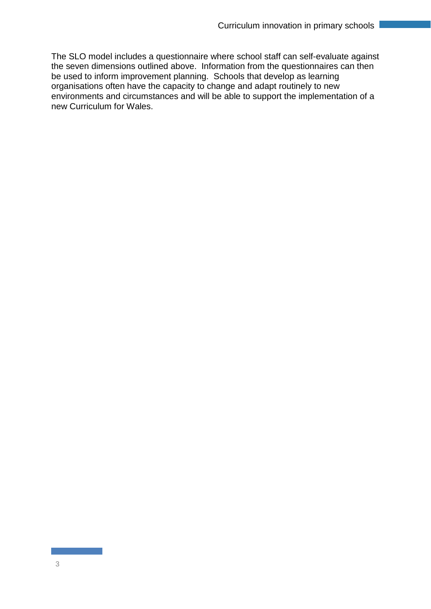The SLO model includes a questionnaire where school staff can self-evaluate against the seven dimensions outlined above. Information from the questionnaires can then be used to inform improvement planning. Schools that develop as learning organisations often have the capacity to change and adapt routinely to new environments and circumstances and will be able to support the implementation of a new Curriculum for Wales.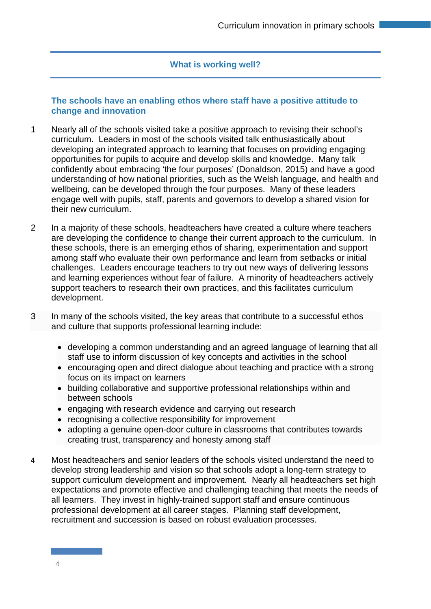# **What is working well?**

# **The schools have an enabling ethos where staff have a positive attitude to change and innovation**

- 1 Nearly all of the schools visited take a positive approach to revising their school's curriculum. Leaders in most of the schools visited talk enthusiastically about developing an integrated approach to learning that focuses on providing engaging opportunities for pupils to acquire and develop skills and knowledge. Many talk confidently about embracing 'the four purposes' (Donaldson, 2015) and have a good understanding of how national priorities, such as the Welsh language, and health and wellbeing, can be developed through the four purposes. Many of these leaders engage well with pupils, staff, parents and governors to develop a shared vision for their new curriculum.
- 2 In a majority of these schools, headteachers have created a culture where teachers are developing the confidence to change their current approach to the curriculum. In these schools, there is an emerging ethos of sharing, experimentation and support among staff who evaluate their own performance and learn from setbacks or initial challenges. Leaders encourage teachers to try out new ways of delivering lessons and learning experiences without fear of failure. A minority of headteachers actively support teachers to research their own practices, and this facilitates curriculum development.
- 3 In many of the schools visited, the key areas that contribute to a successful ethos and culture that supports professional learning include:
	- developing a common understanding and an agreed language of learning that all staff use to inform discussion of key concepts and activities in the school
	- encouraging open and direct dialogue about teaching and practice with a strong focus on its impact on learners
	- building collaborative and supportive professional relationships within and between schools
	- engaging with research evidence and carrying out research
	- recognising a collective responsibility for improvement
	- adopting a genuine open-door culture in classrooms that contributes towards creating trust, transparency and honesty among staff
- 4 Most headteachers and senior leaders of the schools visited understand the need to develop strong leadership and vision so that schools adopt a long-term strategy to support curriculum development and improvement. Nearly all headteachers set high expectations and promote effective and challenging teaching that meets the needs of all learners. They invest in highly-trained support staff and ensure continuous professional development at all career stages. Planning staff development, recruitment and succession is based on robust evaluation processes.

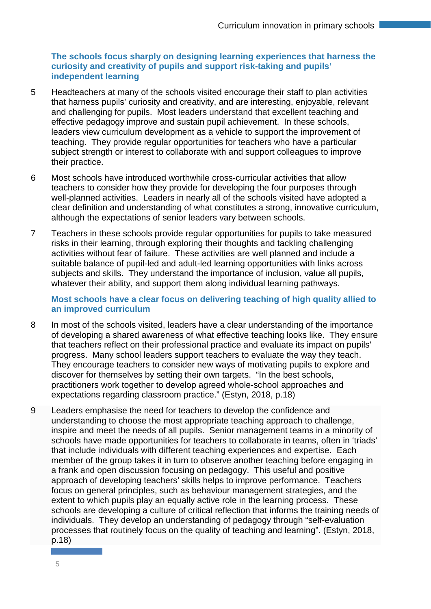# **The schools focus sharply on designing learning experiences that harness the curiosity and creativity of pupils and support risk-taking and pupils' independent learning**

- 5 Headteachers at many of the schools visited encourage their staff to plan activities that harness pupils' curiosity and creativity, and are interesting, enjoyable, relevant and challenging for pupils. Most leaders understand that excellent teaching and effective pedagogy improve and sustain pupil achievement. In these schools, leaders view curriculum development as a vehicle to support the improvement of teaching. They provide regular opportunities for teachers who have a particular subject strength or interest to collaborate with and support colleagues to improve their practice.
- 6 Most schools have introduced worthwhile cross-curricular activities that allow teachers to consider how they provide for developing the four purposes through well-planned activities. Leaders in nearly all of the schools visited have adopted a clear definition and understanding of what constitutes a strong, innovative curriculum, although the expectations of senior leaders vary between schools.
- 7 Teachers in these schools provide regular opportunities for pupils to take measured risks in their learning, through exploring their thoughts and tackling challenging activities without fear of failure. These activities are well planned and include a suitable balance of pupil-led and adult-led learning opportunities with links across subjects and skills. They understand the importance of inclusion, value all pupils, whatever their ability, and support them along individual learning pathways.

**Most schools have a clear focus on delivering teaching of high quality allied to an improved curriculum**

- 8 In most of the schools visited, leaders have a clear understanding of the importance of developing a shared awareness of what effective teaching looks like. They ensure that teachers reflect on their professional practice and evaluate its impact on pupils' progress. Many school leaders support teachers to evaluate the way they teach. They encourage teachers to consider new ways of motivating pupils to explore and discover for themselves by setting their own targets. "In the best schools, practitioners work together to develop agreed whole-school approaches and expectations regarding classroom practice." (Estyn, 2018, p.18)
- 9 Leaders emphasise the need for teachers to develop the confidence and understanding to choose the most appropriate teaching approach to challenge, inspire and meet the needs of all pupils. Senior management teams in a minority of schools have made opportunities for teachers to collaborate in teams, often in 'triads' that include individuals with different teaching experiences and expertise. Each member of the group takes it in turn to observe another teaching before engaging in a frank and open discussion focusing on pedagogy. This useful and positive approach of developing teachers' skills helps to improve performance. Teachers focus on general principles, such as behaviour management strategies, and the extent to which pupils play an equally active role in the learning process. These schools are developing a culture of critical reflection that informs the training needs of individuals. They develop an understanding of pedagogy through "self-evaluation processes that routinely focus on the quality of teaching and learning". (Estyn, 2018, p.18)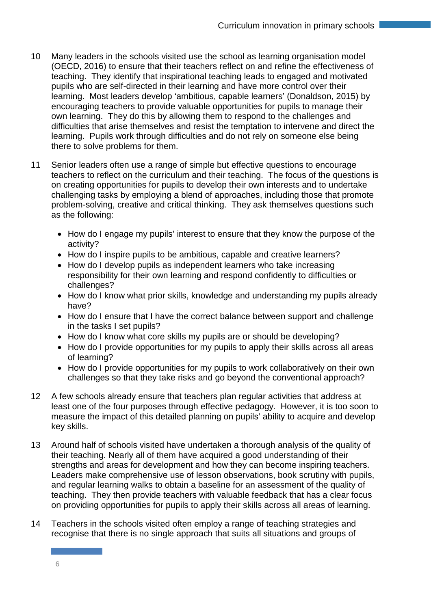- 10 Many leaders in the schools visited use the school as learning organisation model (OECD, 2016) to ensure that their teachers reflect on and refine the effectiveness of teaching. They identify that inspirational teaching leads to engaged and motivated pupils who are self-directed in their learning and have more control over their learning. Most leaders develop 'ambitious, capable learners' (Donaldson, 2015) by encouraging teachers to provide valuable opportunities for pupils to manage their own learning. They do this by allowing them to respond to the challenges and difficulties that arise themselves and resist the temptation to intervene and direct the learning. Pupils work through difficulties and do not rely on someone else being there to solve problems for them.
- 11 Senior leaders often use a range of simple but effective questions to encourage teachers to reflect on the curriculum and their teaching. The focus of the questions is on creating opportunities for pupils to develop their own interests and to undertake challenging tasks by employing a blend of approaches, including those that promote problem-solving, creative and critical thinking. They ask themselves questions such as the following:
	- How do I engage my pupils' interest to ensure that they know the purpose of the activity?
	- How do I inspire pupils to be ambitious, capable and creative learners?
	- How do I develop pupils as independent learners who take increasing responsibility for their own learning and respond confidently to difficulties or challenges?
	- How do I know what prior skills, knowledge and understanding my pupils already have?
	- How do I ensure that I have the correct balance between support and challenge in the tasks I set pupils?
	- How do I know what core skills my pupils are or should be developing?
	- How do I provide opportunities for my pupils to apply their skills across all areas of learning?
	- How do I provide opportunities for my pupils to work collaboratively on their own challenges so that they take risks and go beyond the conventional approach?
- 12 A few schools already ensure that teachers plan regular activities that address at least one of the four purposes through effective pedagogy. However, it is too soon to measure the impact of this detailed planning on pupils' ability to acquire and develop key skills.
- 13 Around half of schools visited have undertaken a thorough analysis of the quality of their teaching. Nearly all of them have acquired a good understanding of their strengths and areas for development and how they can become inspiring teachers. Leaders make comprehensive use of lesson observations, book scrutiny with pupils, and regular learning walks to obtain a baseline for an assessment of the quality of teaching. They then provide teachers with valuable feedback that has a clear focus on providing opportunities for pupils to apply their skills across all areas of learning.
- 14 Teachers in the schools visited often employ a range of teaching strategies and recognise that there is no single approach that suits all situations and groups of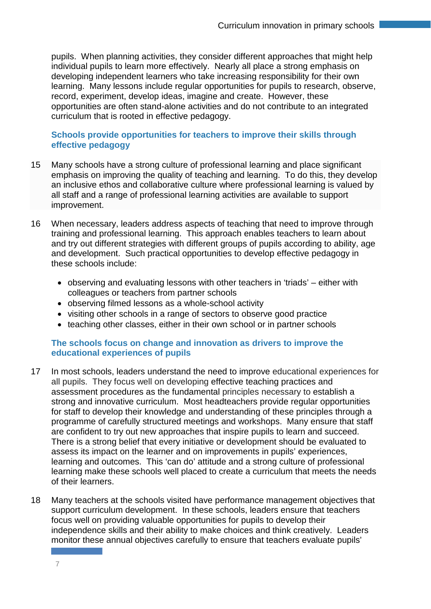pupils. When planning activities, they consider different approaches that might help individual pupils to learn more effectively. Nearly all place a strong emphasis on developing independent learners who take increasing responsibility for their own learning. Many lessons include regular opportunities for pupils to research, observe, record, experiment, develop ideas, imagine and create. However, these opportunities are often stand-alone activities and do not contribute to an integrated curriculum that is rooted in effective pedagogy.

# **Schools provide opportunities for teachers to improve their skills through effective pedagogy**

- 15 Many schools have a strong culture of professional learning and place significant emphasis on improving the quality of teaching and learning. To do this, they develop an inclusive ethos and collaborative culture where professional learning is valued by all staff and a range of professional learning activities are available to support improvement.
- 16 When necessary, leaders address aspects of teaching that need to improve through training and professional learning. This approach enables teachers to learn about and try out different strategies with different groups of pupils according to ability, age and development. Such practical opportunities to develop effective pedagogy in these schools include:
	- observing and evaluating lessons with other teachers in 'triads' either with colleagues or teachers from partner schools
	- observing filmed lessons as a whole-school activity
	- visiting other schools in a range of sectors to observe good practice
	- teaching other classes, either in their own school or in partner schools

#### **The schools focus on change and innovation as drivers to improve the educational experiences of pupils**

- 17 In most schools, leaders understand the need to improve educational experiences for all pupils. They focus well on developing effective teaching practices and assessment procedures as the fundamental principles necessary to establish a strong and innovative curriculum. Most headteachers provide regular opportunities for staff to develop their knowledge and understanding of these principles through a programme of carefully structured meetings and workshops. Many ensure that staff are confident to try out new approaches that inspire pupils to learn and succeed. There is a strong belief that every initiative or development should be evaluated to assess its impact on the learner and on improvements in pupils' experiences, learning and outcomes. This 'can do' attitude and a strong culture of professional learning make these schools well placed to create a curriculum that meets the needs of their learners.
- 18 Many teachers at the schools visited have performance management objectives that support curriculum development. In these schools, leaders ensure that teachers focus well on providing valuable opportunities for pupils to develop their independence skills and their ability to make choices and think creatively. Leaders monitor these annual objectives carefully to ensure that teachers evaluate pupils'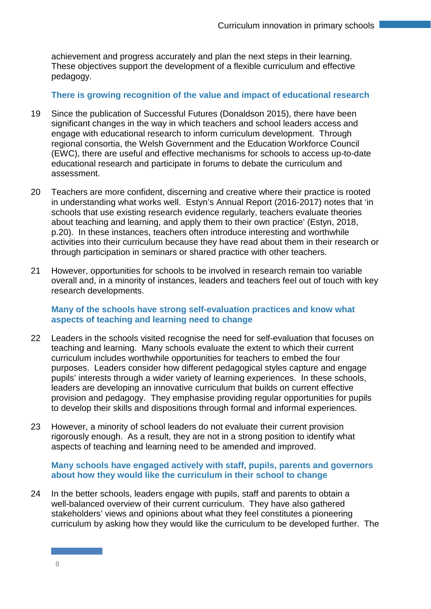achievement and progress accurately and plan the next steps in their learning. These objectives support the development of a flexible curriculum and effective pedagogy.

### **There is growing recognition of the value and impact of educational research**

- 19 Since the publication of Successful Futures (Donaldson 2015), there have been significant changes in the way in which teachers and school leaders access and engage with educational research to inform curriculum development. Through regional consortia, the Welsh Government and the Education Workforce Council (EWC), there are useful and effective mechanisms for schools to access up-to-date educational research and participate in forums to debate the curriculum and assessment.
- 20 Teachers are more confident, discerning and creative where their practice is rooted in understanding what works well. Estyn's Annual Report (2016-2017) notes that 'in schools that use existing research evidence regularly, teachers evaluate theories about teaching and learning, and apply them to their own practice' (Estyn, 2018, p.20). In these instances, teachers often introduce interesting and worthwhile activities into their curriculum because they have read about them in their research or through participation in seminars or shared practice with other teachers.
- 21 However, opportunities for schools to be involved in research remain too variable overall and, in a minority of instances, leaders and teachers feel out of touch with key research developments.

#### **Many of the schools have strong self-evaluation practices and know what aspects of teaching and learning need to change**

- 22 Leaders in the schools visited recognise the need for self-evaluation that focuses on teaching and learning. Many schools evaluate the extent to which their current curriculum includes worthwhile opportunities for teachers to embed the four purposes. Leaders consider how different pedagogical styles capture and engage pupils' interests through a wider variety of learning experiences. In these schools, leaders are developing an innovative curriculum that builds on current effective provision and pedagogy. They emphasise providing regular opportunities for pupils to develop their skills and dispositions through formal and informal experiences.
- 23 However, a minority of school leaders do not evaluate their current provision rigorously enough. As a result, they are not in a strong position to identify what aspects of teaching and learning need to be amended and improved.

#### **Many schools have engaged actively with staff, pupils, parents and governors about how they would like the curriculum in their school to change**

24 In the better schools, leaders engage with pupils, staff and parents to obtain a well-balanced overview of their current curriculum. They have also gathered stakeholders' views and opinions about what they feel constitutes a pioneering curriculum by asking how they would like the curriculum to be developed further. The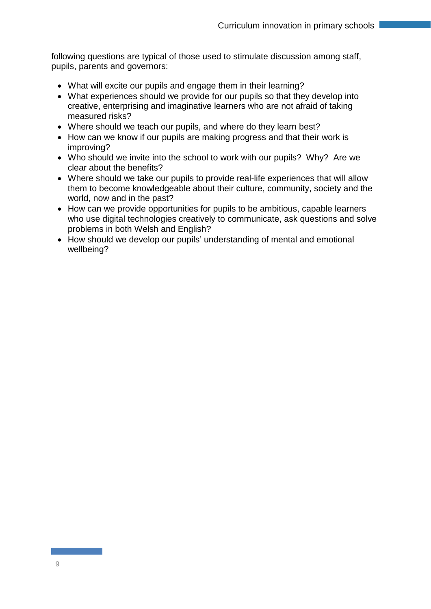following questions are typical of those used to stimulate discussion among staff, pupils, parents and governors:

- What will excite our pupils and engage them in their learning?
- What experiences should we provide for our pupils so that they develop into creative, enterprising and imaginative learners who are not afraid of taking measured risks?
- Where should we teach our pupils, and where do they learn best?
- How can we know if our pupils are making progress and that their work is improving?
- Who should we invite into the school to work with our pupils? Why? Are we clear about the benefits?
- Where should we take our pupils to provide real-life experiences that will allow them to become knowledgeable about their culture, community, society and the world, now and in the past?
- How can we provide opportunities for pupils to be ambitious, capable learners who use digital technologies creatively to communicate, ask questions and solve problems in both Welsh and English?
- How should we develop our pupils' understanding of mental and emotional wellbeing?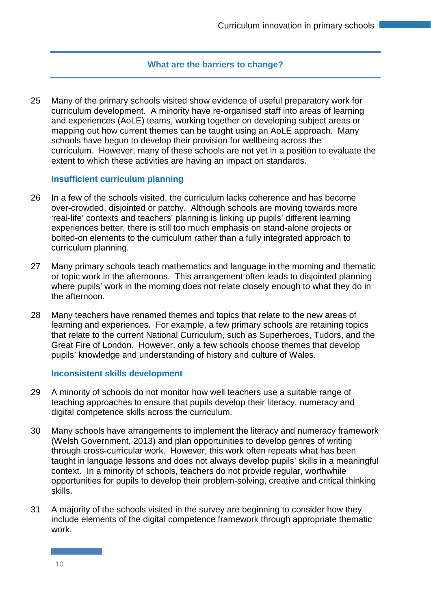### **What are the barriers to change?**

25 Many of the primary schools visited show evidence of useful preparatory work for curriculum development. A minority have re-organised staff into areas of learning and experiences (AoLE) teams, working together on developing subject areas or mapping out how current themes can be taught using an AoLE approach. Many schools have begun to develop their provision for wellbeing across the curriculum. However, many of these schools are not yet in a position to evaluate the extent to which these activities are having an impact on standards.

#### **Insufficient curriculum planning**

- 26 In a few of the schools visited, the curriculum lacks coherence and has become over-crowded, disjointed or patchy. Although schools are moving towards more 'real-life' contexts and teachers' planning is linking up pupils' different learning experiences better, there is still too much emphasis on stand-alone projects or bolted-on elements to the curriculum rather than a fully integrated approach to curriculum planning.
- 27 Many primary schools teach mathematics and language in the morning and thematic or topic work in the afternoons. This arrangement often leads to disjointed planning where pupils' work in the morning does not relate closely enough to what they do in the afternoon.
- 28 Many teachers have renamed themes and topics that relate to the new areas of learning and experiences. For example, a few primary schools are retaining topics that relate to the current National Curriculum, such as Superheroes, Tudors, and the Great Fire of London. However, only a few schools choose themes that develop pupils' knowledge and understanding of history and culture of Wales.

#### **Inconsistent skills development**

- 29 A minority of schools do not monitor how well teachers use a suitable range of teaching approaches to ensure that pupils develop their literacy, numeracy and digital competence skills across the curriculum.
- 30 Many schools have arrangements to implement the literacy and numeracy framework (Welsh Government, 2013) and plan opportunities to develop genres of writing through cross-curricular work. However, this work often repeats what has been taught in language lessons and does not always develop pupils' skills in a meaningful context. In a minority of schools, teachers do not provide regular, worthwhile opportunities for pupils to develop their problem-solving, creative and critical thinking skills.
- 31 A majority of the schools visited in the survey are beginning to consider how they include elements of the digital competence framework through appropriate thematic work.

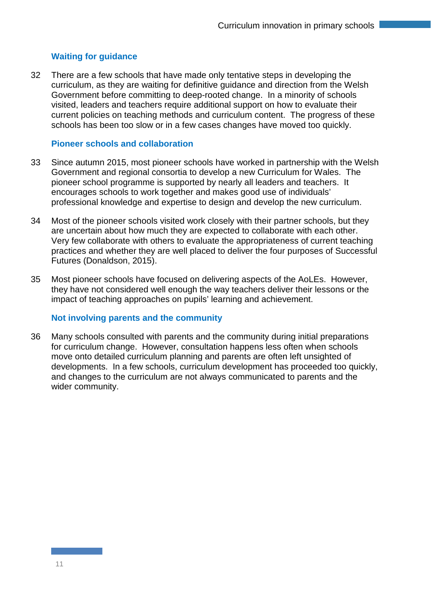# **Waiting for guidance**

32 There are a few schools that have made only tentative steps in developing the curriculum, as they are waiting for definitive guidance and direction from the Welsh Government before committing to deep-rooted change. In a minority of schools visited, leaders and teachers require additional support on how to evaluate their current policies on teaching methods and curriculum content. The progress of these schools has been too slow or in a few cases changes have moved too quickly.

#### **Pioneer schools and collaboration**

- 33 Since autumn 2015, most pioneer schools have worked in partnership with the Welsh Government and regional consortia to develop a new Curriculum for Wales. The pioneer school programme is supported by nearly all leaders and teachers. It encourages schools to work together and makes good use of individuals' professional knowledge and expertise to design and develop the new curriculum.
- 34 Most of the pioneer schools visited work closely with their partner schools, but they are uncertain about how much they are expected to collaborate with each other. Very few collaborate with others to evaluate the appropriateness of current teaching practices and whether they are well placed to deliver the four purposes of Successful Futures (Donaldson, 2015).
- 35 Most pioneer schools have focused on delivering aspects of the AoLEs. However, they have not considered well enough the way teachers deliver their lessons or the impact of teaching approaches on pupils' learning and achievement.

#### **Not involving parents and the community**

36 Many schools consulted with parents and the community during initial preparations for curriculum change. However, consultation happens less often when schools move onto detailed curriculum planning and parents are often left unsighted of developments. In a few schools, curriculum development has proceeded too quickly, and changes to the curriculum are not always communicated to parents and the wider community.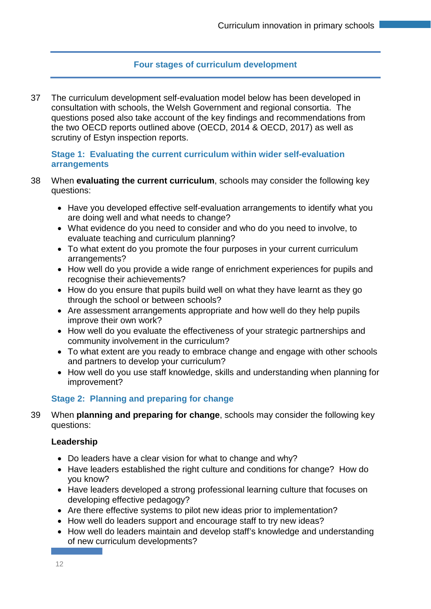# **Four stages of curriculum development**

37 The curriculum development self-evaluation model below has been developed in consultation with schools, the Welsh Government and regional consortia. The questions posed also take account of the key findings and recommendations from the two OECD reports outlined above (OECD, 2014 & OECD, 2017) as well as scrutiny of Estyn inspection reports.

#### **Stage 1: Evaluating the current curriculum within wider self-evaluation arrangements**

- 38 When **evaluating the current curriculum**, schools may consider the following key questions:
	- Have you developed effective self-evaluation arrangements to identify what you are doing well and what needs to change?
	- What evidence do you need to consider and who do you need to involve, to evaluate teaching and curriculum planning?
	- To what extent do you promote the four purposes in your current curriculum arrangements?
	- How well do you provide a wide range of enrichment experiences for pupils and recognise their achievements?
	- How do you ensure that pupils build well on what they have learnt as they go through the school or between schools?
	- Are assessment arrangements appropriate and how well do they help pupils improve their own work?
	- How well do you evaluate the effectiveness of your strategic partnerships and community involvement in the curriculum?
	- To what extent are you ready to embrace change and engage with other schools and partners to develop your curriculum?
	- How well do you use staff knowledge, skills and understanding when planning for improvement?

# **Stage 2: Planning and preparing for change**

39 When **planning and preparing for change**, schools may consider the following key questions:

#### **Leadership**

- Do leaders have a clear vision for what to change and why?
- Have leaders established the right culture and conditions for change? How do you know?
- Have leaders developed a strong professional learning culture that focuses on developing effective pedagogy?
- Are there effective systems to pilot new ideas prior to implementation?
- How well do leaders support and encourage staff to try new ideas?
- How well do leaders maintain and develop staff's knowledge and understanding of new curriculum developments?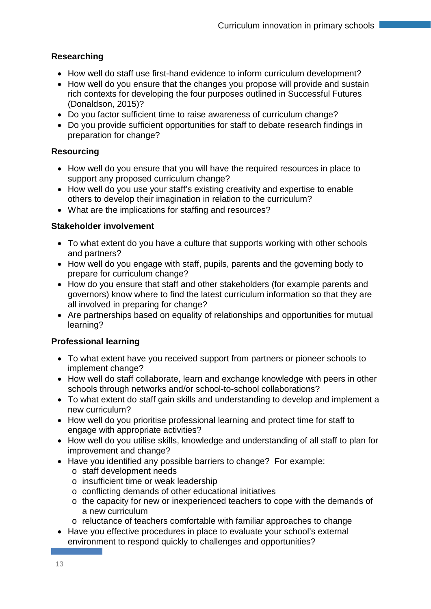# **Researching**

- How well do staff use first-hand evidence to inform curriculum development?
- How well do you ensure that the changes you propose will provide and sustain rich contexts for developing the four purposes outlined in Successful Futures (Donaldson, 2015)?
- Do you factor sufficient time to raise awareness of curriculum change?
- Do you provide sufficient opportunities for staff to debate research findings in preparation for change?

# **Resourcing**

- How well do you ensure that you will have the required resources in place to support any proposed curriculum change?
- How well do you use your staff's existing creativity and expertise to enable others to develop their imagination in relation to the curriculum?
- What are the implications for staffing and resources?

# **Stakeholder involvement**

- To what extent do you have a culture that supports working with other schools and partners?
- How well do you engage with staff, pupils, parents and the governing body to prepare for curriculum change?
- How do you ensure that staff and other stakeholders (for example parents and governors) know where to find the latest curriculum information so that they are all involved in preparing for change?
- Are partnerships based on equality of relationships and opportunities for mutual learning?

# **Professional learning**

- To what extent have you received support from partners or pioneer schools to implement change?
- How well do staff collaborate, learn and exchange knowledge with peers in other schools through networks and/or school-to-school collaborations?
- To what extent do staff gain skills and understanding to develop and implement a new curriculum?
- How well do you prioritise professional learning and protect time for staff to engage with appropriate activities?
- How well do you utilise skills, knowledge and understanding of all staff to plan for improvement and change?
- Have you identified any possible barriers to change? For example:
	- o staff development needs
	- o insufficient time or weak leadership
	- o conflicting demands of other educational initiatives
	- o the capacity for new or inexperienced teachers to cope with the demands of a new curriculum
	- o reluctance of teachers comfortable with familiar approaches to change
- Have you effective procedures in place to evaluate your school's external environment to respond quickly to challenges and opportunities?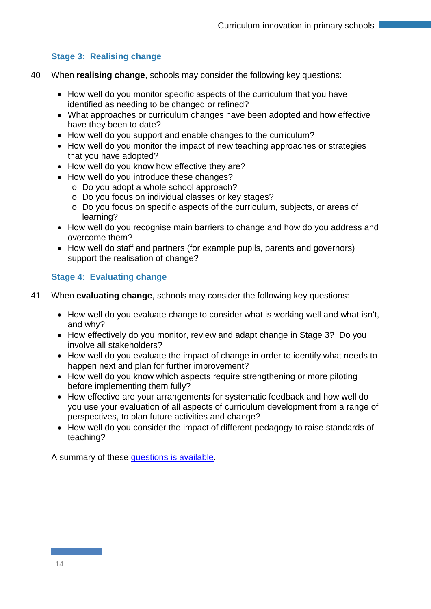# **Stage 3: Realising change**

- 40 When **realising change**, schools may consider the following key questions:
	- How well do you monitor specific aspects of the curriculum that you have identified as needing to be changed or refined?
	- What approaches or curriculum changes have been adopted and how effective have they been to date?
	- How well do you support and enable changes to the curriculum?
	- How well do you monitor the impact of new teaching approaches or strategies that you have adopted?
	- How well do you know how effective they are?
	- How well do you introduce these changes?
		- o Do you adopt a whole school approach?
		- o Do you focus on individual classes or key stages?
		- o Do you focus on specific aspects of the curriculum, subjects, or areas of learning?
	- How well do you recognise main barriers to change and how do you address and overcome them?
	- How well do staff and partners (for example pupils, parents and governors) support the realisation of change?

# **Stage 4: Evaluating change**

- 41 When **evaluating change**, schools may consider the following key questions:
	- How well do you evaluate change to consider what is working well and what isn't, and why?
	- How effectively do you monitor, review and adapt change in Stage 3? Do you involve all stakeholders?
	- How well do you evaluate the impact of change in order to identify what needs to happen next and plan for further improvement?
	- How well do you know which aspects require strengthening or more piloting before implementing them fully?
	- How effective are your arrangements for systematic feedback and how well do you use your evaluation of all aspects of curriculum development from a range of perspectives, to plan future activities and change?
	- How well do you consider the impact of different pedagogy to raise standards of teaching?

A summary of these questions [is available.](https://www.estyn.gov.wales/sites/default/files/Journey%20to%20curriculum%20reform%20-%20Roadmap%20April%202018%20-%20v2.png)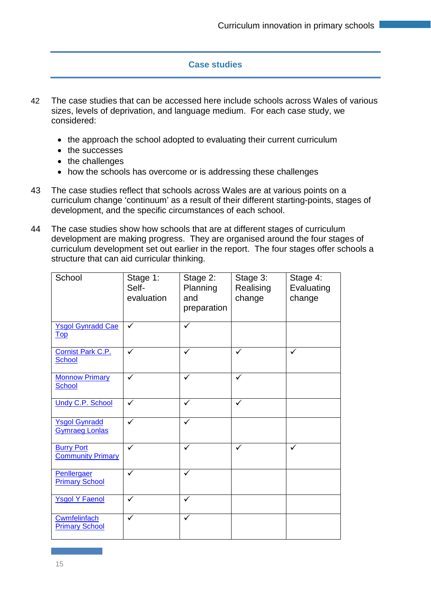# **Case studies**

- 42 The case studies that can be accessed here include schools across Wales of various sizes, levels of deprivation, and language medium. For each case study, we considered:
	- the approach the school adopted to evaluating their current curriculum
	- the successes
	- the challenges
	- how the schools has overcome or is addressing these challenges
- 43 The case studies reflect that schools across Wales are at various points on a curriculum change 'continuum' as a result of their different starting-points, stages of development, and the specific circumstances of each school.
- 44 The case studies show how schools that are at different stages of curriculum development are making progress. They are organised around the four stages of curriculum development set out earlier in the report. The four stages offer schools a structure that can aid curricular thinking.

| School                                                       | Stage 1:<br>Self-<br>evaluation | Stage 2:<br>Planning<br>and<br>preparation | Stage 3:<br>Realising<br>change | Stage 4:<br>Evaluating<br>change |
|--------------------------------------------------------------|---------------------------------|--------------------------------------------|---------------------------------|----------------------------------|
| <b>Ysgol Gynradd Cae</b><br>$\underline{\operatorname{Top}}$ | ✓                               | ✓                                          |                                 |                                  |
| Cornist Park C.P.<br><b>School</b>                           | ✓                               | ✓                                          | ✓                               | ✓                                |
| <b>Monnow Primary</b><br>School                              | $\checkmark$                    | ✓                                          | ✓                               |                                  |
| <b>Undy C.P. School</b>                                      | $\checkmark$                    | ✓                                          | ✓                               |                                  |
| <b>Ysgol Gynradd</b><br><b>Gymraeg Lonlas</b>                | ✓                               | ✓                                          |                                 |                                  |
| <b>Burry Port</b><br><b>Community Primary</b>                | ✓                               | ✓                                          | ✓                               | ✓                                |
| Penllergaer<br><b>Primary School</b>                         | ✓                               | $\checkmark$                               |                                 |                                  |
| <b>Ysgol Y Faenol</b>                                        | ✓                               |                                            |                                 |                                  |
| Cwmfelinfach<br><b>Primary School</b>                        | ✓                               | ✓                                          |                                 |                                  |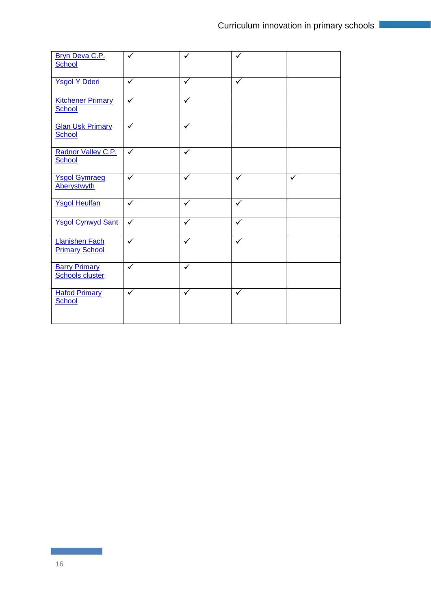| Bryn Deva C.P.<br>School                       | ✓            | $\checkmark$ | ✓            |   |
|------------------------------------------------|--------------|--------------|--------------|---|
| <b>Ysgol Y Dderi</b>                           | ✓            | ✓            | ✓            |   |
| <b>Kitchener Primary</b><br><b>School</b>      | $\checkmark$ | ✓            |              |   |
| <b>Glan Usk Primary</b><br>School              | $\checkmark$ | $\checkmark$ |              |   |
| Radnor Valley C.P.<br>School                   | $\checkmark$ | $\checkmark$ |              |   |
| <b>Ysgol Gymraeg</b><br><b>Aberystwyth</b>     | ✓            | $\checkmark$ | ✓            | ✓ |
| <b>Ysgol Heulfan</b>                           | $\checkmark$ | $\checkmark$ | $\checkmark$ |   |
| <b>Ysgol Cynwyd Sant</b>                       | ✓            | ✓            | ✓            |   |
| <b>Llanishen Fach</b><br><b>Primary School</b> | ✓            | ✓            | ✓            |   |
| <b>Barry Primary</b><br><b>Schools cluster</b> | ✓            | ✓            |              |   |
| <b>Hafod Primary</b><br>School                 | ✓            | $\checkmark$ | ✓            |   |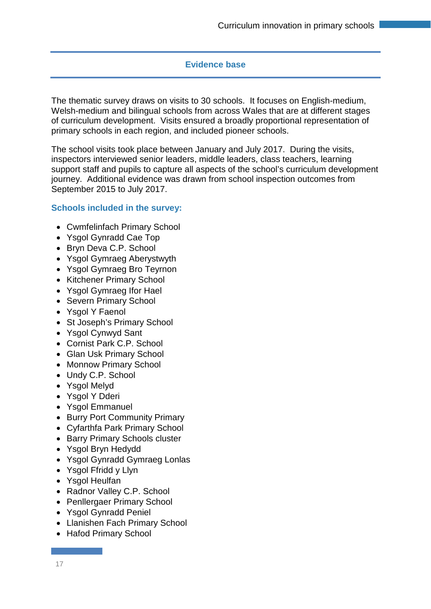#### **Evidence base**

The thematic survey draws on visits to 30 schools. It focuses on English-medium, Welsh-medium and bilingual schools from across Wales that are at different stages of curriculum development. Visits ensured a broadly proportional representation of primary schools in each region, and included pioneer schools.

The school visits took place between January and July 2017. During the visits, inspectors interviewed senior leaders, middle leaders, class teachers, learning support staff and pupils to capture all aspects of the school's curriculum development journey. Additional evidence was drawn from school inspection outcomes from September 2015 to July 2017.

#### **Schools included in the survey:**

- Cwmfelinfach Primary School
- Ysgol Gynradd Cae Top
- Bryn Deva C.P. School
- Ysgol Gymraeg Aberystwyth
- Ysgol Gymraeg Bro Teyrnon
- Kitchener Primary School
- Ysgol Gymraeg Ifor Hael
- Severn Primary School
- Ysgol Y Faenol
- St Joseph's Primary School
- Ysgol Cynwyd Sant
- Cornist Park C.P. School
- Glan Usk Primary School
- Monnow Primary School
- Undy C.P. School
- Ysgol Melyd
- Ysgol Y Dderi
- Ysgol Emmanuel
- Burry Port Community Primary
- Cyfarthfa Park Primary School
- Barry Primary Schools cluster
- Ysgol Bryn Hedydd
- Ysgol Gynradd Gymraeg Lonlas
- Ysgol Ffridd y Llyn
- Ysgol Heulfan
- Radnor Valley C.P. School
- Penllergaer Primary School
- Ysgol Gynradd Peniel
- Llanishen Fach Primary School
- Hafod Primary School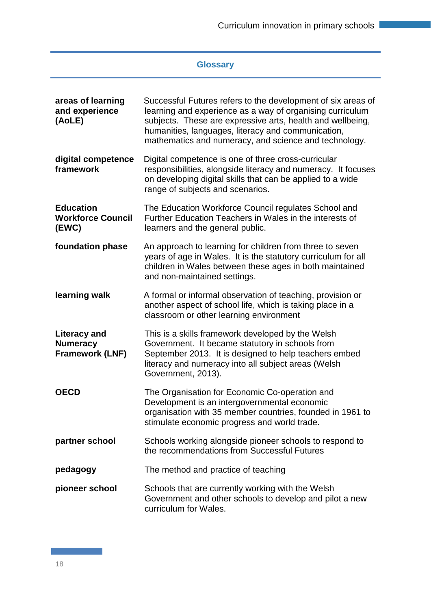# **Glossary**

| areas of learning<br>and experience<br>(AoLE)                    | Successful Futures refers to the development of six areas of<br>learning and experience as a way of organising curriculum<br>subjects. These are expressive arts, health and wellbeing,<br>humanities, languages, literacy and communication,<br>mathematics and numeracy, and science and technology. |
|------------------------------------------------------------------|--------------------------------------------------------------------------------------------------------------------------------------------------------------------------------------------------------------------------------------------------------------------------------------------------------|
| digital competence<br>framework                                  | Digital competence is one of three cross-curricular<br>responsibilities, alongside literacy and numeracy. It focuses<br>on developing digital skills that can be applied to a wide<br>range of subjects and scenarios.                                                                                 |
| <b>Education</b><br><b>Workforce Council</b><br>(EWC)            | The Education Workforce Council regulates School and<br>Further Education Teachers in Wales in the interests of<br>learners and the general public.                                                                                                                                                    |
| foundation phase                                                 | An approach to learning for children from three to seven<br>years of age in Wales. It is the statutory curriculum for all<br>children in Wales between these ages in both maintained<br>and non-maintained settings.                                                                                   |
| learning walk                                                    | A formal or informal observation of teaching, provision or<br>another aspect of school life, which is taking place in a<br>classroom or other learning environment                                                                                                                                     |
| <b>Literacy and</b><br><b>Numeracy</b><br><b>Framework (LNF)</b> | This is a skills framework developed by the Welsh<br>Government. It became statutory in schools from<br>September 2013. It is designed to help teachers embed<br>literacy and numeracy into all subject areas (Welsh<br>Government, 2013).                                                             |
| <b>OECD</b>                                                      | The Organisation for Economic Co-operation and<br>Development is an intergovernmental economic<br>organisation with 35 member countries, founded in 1961 to<br>stimulate economic progress and world trade.                                                                                            |
| partner school                                                   | Schools working alongside pioneer schools to respond to<br>the recommendations from Successful Futures                                                                                                                                                                                                 |
| pedagogy                                                         | The method and practice of teaching                                                                                                                                                                                                                                                                    |
| pioneer school                                                   | Schools that are currently working with the Welsh<br>Government and other schools to develop and pilot a new<br>curriculum for Wales.                                                                                                                                                                  |

18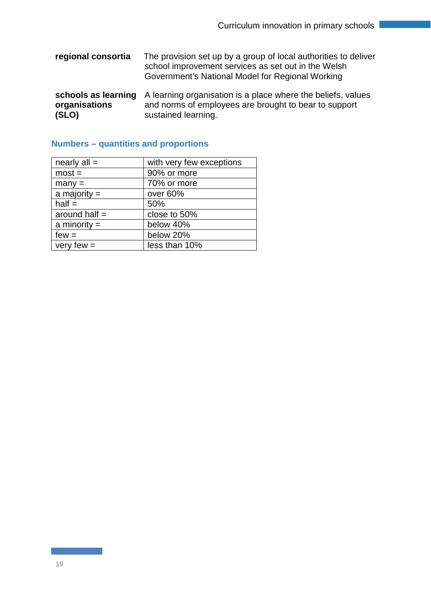- **regional consortia** The provision set up by a group of local authorities to deliver school improvement services as set out in the Welsh Government's National Model for Regional Working
- schools as learning A learning organisation is a place where the beliefs, values **organisations (SLO)** and norms of employees are brought to bear to support sustained learning.

| nearly $all =$  | with very few exceptions |
|-----------------|--------------------------|
| $most =$        | 90% or more              |
| $many =$        | 70% or more              |
| a majority $=$  | over 60%                 |
| $half =$        | 50%                      |
| around half $=$ | close to 50%             |
| a minority $=$  | below 40%                |
| $few =$         | below 20%                |
| very few $=$    | less than 10%            |

# **Numbers – quantities and proportions**